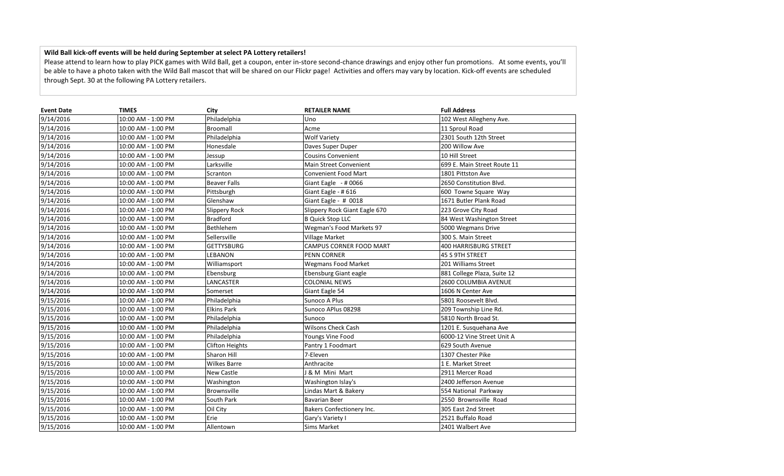## **Wild Ball kick-off events will be held during September at select PA Lottery retailers!**

Please attend to learn how to play PICK games with Wild Ball, get a coupon, enter in-store second-chance drawings and enjoy other fun promotions. At some events, you'll be able to have a photo taken with the Wild Ball mascot that will be shared on our Flickr page! Activities and offers may vary by location. Kick-off events are scheduled through Sept. 30 at the following PA Lottery retailers.

| <b>Event Date</b> | <b>TIMES</b>       | City                   | <b>RETAILER NAME</b>          | <b>Full Address</b>          |
|-------------------|--------------------|------------------------|-------------------------------|------------------------------|
| 9/14/2016         | 10:00 AM - 1:00 PM | Philadelphia           | Uno                           | 102 West Allegheny Ave.      |
| 9/14/2016         | 10:00 AM - 1:00 PM | Broomall               | Acme                          | 11 Sproul Road               |
| 9/14/2016         | 10:00 AM - 1:00 PM | Philadelphia           | <b>Wolf Variety</b>           | 2301 South 12th Street       |
| 9/14/2016         | 10:00 AM - 1:00 PM | Honesdale              | Daves Super Duper             | 200 Willow Ave               |
| 9/14/2016         | 10:00 AM - 1:00 PM | Jessup                 | <b>Cousins Convenient</b>     | 10 Hill Street               |
| 9/14/2016         | 10:00 AM - 1:00 PM | Larksville             | Main Street Convenient        | 699 E. Main Street Route 11  |
| 9/14/2016         | 10:00 AM - 1:00 PM | Scranton               | <b>Convenient Food Mart</b>   | 1801 Pittston Ave            |
| 9/14/2016         | 10:00 AM - 1:00 PM | <b>Beaver Falls</b>    | Giant Eagle $-$ # 0066        | 2650 Constitution Blvd.      |
| 9/14/2016         | 10:00 AM - 1:00 PM | Pittsburgh             | Giant Eagle - #616            | 600 Towne Square Way         |
| 9/14/2016         | 10:00 AM - 1:00 PM | Glenshaw               | Giant Eagle - # 0018          | 1671 Butler Plank Road       |
| 9/14/2016         | 10:00 AM - 1:00 PM | Slippery Rock          | Slippery Rock Giant Eagle 670 | 223 Grove City Road          |
| 9/14/2016         | 10:00 AM - 1:00 PM | <b>Bradford</b>        | <b>B Quick Stop LLC</b>       | 84 West Washington Street    |
| 9/14/2016         | 10:00 AM - 1:00 PM | Bethlehem              | Wegman's Food Markets 97      | 5000 Wegmans Drive           |
| 9/14/2016         | 10:00 AM - 1:00 PM | Sellersville           | Village Market                | 300 S. Main Street           |
| 9/14/2016         | 10:00 AM - 1:00 PM | <b>GETTYSBURG</b>      | CAMPUS CORNER FOOD MART       | <b>400 HARRISBURG STREET</b> |
| 9/14/2016         | 10:00 AM - 1:00 PM | <b>LEBANON</b>         | PENN CORNER                   | 45 S 9TH STREET              |
| 9/14/2016         | 10:00 AM - 1:00 PM | Williamsport           | <b>Wegmans Food Market</b>    | 201 Williams Street          |
| 9/14/2016         | 10:00 AM - 1:00 PM | Ebensburg              | Ebensburg Giant eagle         | 881 College Plaza, Suite 12  |
| 9/14/2016         | 10:00 AM - 1:00 PM | LANCASTER              | <b>COLONIAL NEWS</b>          | 2600 COLUMBIA AVENUE         |
| 9/14/2016         | 10:00 AM - 1:00 PM | Somerset               | Giant Eagle 54                | 1606 N Center Ave            |
| 9/15/2016         | 10:00 AM - 1:00 PM | Philadelphia           | Sunoco A Plus                 | 5801 Roosevelt Blvd.         |
| 9/15/2016         | 10:00 AM - 1:00 PM | <b>Elkins Park</b>     | Sunoco APlus 08298            | 209 Township Line Rd.        |
| 9/15/2016         | 10:00 AM - 1:00 PM | Philadelphia           | Sunoco                        | 5810 North Broad St.         |
| 9/15/2016         | 10:00 AM - 1:00 PM | Philadelphia           | <b>Wilsons Check Cash</b>     | 1201 E. Susquehana Ave       |
| 9/15/2016         | 10:00 AM - 1:00 PM | Philadelphia           | Youngs Vine Food              | 6000-12 Vine Street Unit A   |
| 9/15/2016         | 10:00 AM - 1:00 PM | <b>Clifton Heights</b> | Pantry 1 Foodmart             | 629 South Avenue             |
| 9/15/2016         | 10:00 AM - 1:00 PM | Sharon Hill            | 7-Eleven                      | 1307 Chester Pike            |
| 9/15/2016         | 10:00 AM - 1:00 PM | <b>Wilkes Barre</b>    | Anthracite                    | 1 E. Market Street           |
| 9/15/2016         | 10:00 AM - 1:00 PM | <b>New Castle</b>      | J & M Mini Mart               | 2911 Mercer Road             |
| 9/15/2016         | 10:00 AM - 1:00 PM | Washington             | Washington Islay's            | 2400 Jefferson Avenue        |
| 9/15/2016         | 10:00 AM - 1:00 PM | Brownsville            | Lindas Mart & Bakery          | 554 National Parkway         |
| 9/15/2016         | 10:00 AM - 1:00 PM | South Park             | <b>Bavarian Beer</b>          | 2550 Brownsville Road        |
| 9/15/2016         | 10:00 AM - 1:00 PM | Oil City               | Bakers Confectionery Inc.     | 305 East 2nd Street          |
| 9/15/2016         | 10:00 AM - 1:00 PM | Erie                   | Gary's Variety I              | 2521 Buffalo Road            |
| 9/15/2016         | 10:00 AM - 1:00 PM | Allentown              | <b>Sims Market</b>            | 2401 Walbert Ave             |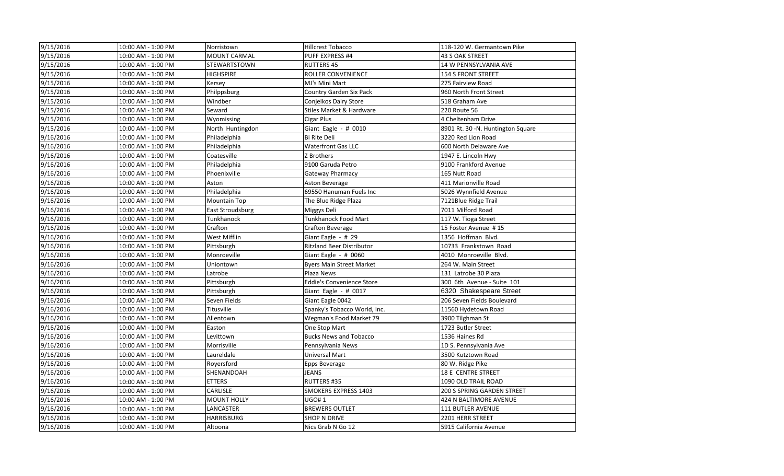| 9/15/2016 | 10:00 AM - 1:00 PM | Norristown          | <b>Hillcrest Tobacco</b>         | 118-120 W. Germantown Pike        |
|-----------|--------------------|---------------------|----------------------------------|-----------------------------------|
| 9/15/2016 | 10:00 AM - 1:00 PM | <b>MOUNT CARMAL</b> | PUFF EXPRESS #4                  | <b>43 S OAK STREET</b>            |
| 9/15/2016 | 10:00 AM - 1:00 PM | <b>STEWARTSTOWN</b> | <b>RUTTERS 45</b>                | 14 W PENNSYLVANIA AVE             |
| 9/15/2016 | 10:00 AM - 1:00 PM | HIGHSPIRE           | ROLLER CONVENIENCE               | <b>154 S FRONT STREET</b>         |
| 9/15/2016 | 10:00 AM - 1:00 PM | Kersey              | MJ's Mini Mart                   | 275 Fairview Road                 |
| 9/15/2016 | 10:00 AM - 1:00 PM | Philppsburg         | Country Garden Six Pack          | 960 North Front Street            |
| 9/15/2016 | 10:00 AM - 1:00 PM | Windber             | Conjelkos Dairy Store            | 518 Graham Ave                    |
| 9/15/2016 | 10:00 AM - 1:00 PM | Seward              | Stiles Market & Hardware         | 220 Route 56                      |
| 9/15/2016 | 10:00 AM - 1:00 PM | Wyomissing          | Cigar Plus                       | 4 Cheltenham Drive                |
| 9/15/2016 | 10:00 AM - 1:00 PM | North Huntingdon    | Giant Eagle - # 0010             | 8901 Rt. 30 -N. Huntington Square |
| 9/16/2016 | 10:00 AM - 1:00 PM | Philadelphia        | Bi Rite Deli                     | 3220 Red Lion Road                |
| 9/16/2016 | 10:00 AM - 1:00 PM | Philadelphia        | <b>Waterfront Gas LLC</b>        | 600 North Delaware Ave            |
| 9/16/2016 | 10:00 AM - 1:00 PM | Coatesville         | Z Brothers                       | 1947 E. Lincoln Hwy               |
| 9/16/2016 | 10:00 AM - 1:00 PM | Philadelphia        | 9100 Garuda Petro                | 9100 Frankford Avenue             |
| 9/16/2016 | 10:00 AM - 1:00 PM | Phoenixville        | Gateway Pharmacy                 | 165 Nutt Road                     |
| 9/16/2016 | 10:00 AM - 1:00 PM | Aston               | Aston Beverage                   | 411 Marionville Road              |
| 9/16/2016 | 10:00 AM - 1:00 PM | Philadelphia        | 69550 Hanuman Fuels Inc          | 5026 Wynnfield Avenue             |
| 9/16/2016 | 10:00 AM - 1:00 PM | Mountain Top        | The Blue Ridge Plaza             | 7121Blue Ridge Trail              |
| 9/16/2016 | 10:00 AM - 1:00 PM | East Stroudsburg    | Miggys Deli                      | 7011 Milford Road                 |
| 9/16/2016 | 10:00 AM - 1:00 PM | Tunkhanock          | <b>Tunkhanock Food Mart</b>      | 117 W. Tioga Street               |
| 9/16/2016 | 10:00 AM - 1:00 PM | Crafton             | <b>Crafton Beverage</b>          | 15 Foster Avenue #15              |
| 9/16/2016 | 10:00 AM - 1:00 PM | West Mifflin        | Giant Eagle - # 29               | 1356 Hoffman Blvd.                |
| 9/16/2016 | 10:00 AM - 1:00 PM | Pittsburgh          | <b>Ritzland Beer Distributor</b> | 10733 Frankstown Road             |
| 9/16/2016 | 10:00 AM - 1:00 PM | Monroeville         | Giant Eagle - $\#$ 0060          | 4010 Monroeville Blvd.            |
| 9/16/2016 | 10:00 AM - 1:00 PM | Uniontown           | <b>Byers Main Street Market</b>  | 264 W. Main Street                |
| 9/16/2016 | 10:00 AM - 1:00 PM | Latrobe             | Plaza News                       | 131 Latrobe 30 Plaza              |
| 9/16/2016 | 10:00 AM - 1:00 PM | Pittsburgh          | <b>Eddie's Convenience Store</b> | 300 6th Avenue - Suite 101        |
| 9/16/2016 | 10:00 AM - 1:00 PM | Pittsburgh          | Giant Eagle - $\#$ 0017          | 6320 Shakespeare Street           |
| 9/16/2016 | 10:00 AM - 1:00 PM | Seven Fields        | Giant Eagle 0042                 | 206 Seven Fields Boulevard        |
| 9/16/2016 | 10:00 AM - 1:00 PM | Titusville          | Spanky's Tobacco World, Inc.     | 11560 Hydetown Road               |
| 9/16/2016 | 10:00 AM - 1:00 PM | Allentown           | Wegman's Food Market 79          | 3900 Tilghman St                  |
| 9/16/2016 | 10:00 AM - 1:00 PM | Easton              | One Stop Mart                    | 1723 Butler Street                |
| 9/16/2016 | 10:00 AM - 1:00 PM | Levittown           | <b>Bucks News and Tobacco</b>    | 1536 Haines Rd                    |
| 9/16/2016 | 10:00 AM - 1:00 PM | Morrisville         | Pennsylvania News                | 1D S. Pennsylvania Ave            |
| 9/16/2016 | 10:00 AM - 1:00 PM | Laureldale          | Universal Mart                   | 3500 Kutztown Road                |
| 9/16/2016 | 10:00 AM - 1:00 PM | Royersford          | Epps Beverage                    | 80 W. Ridge Pike                  |
| 9/16/2016 | 10:00 AM - 1:00 PM | SHENANDOAH          | JEANS                            | 18 E CENTRE STREET                |
| 9/16/2016 | 10:00 AM - 1:00 PM | ETTERS              | RUTTERS #35                      | 1090 OLD TRAIL ROAD               |
| 9/16/2016 | 10:00 AM - 1:00 PM | CARLISLE            | SMOKERS EXPRESS 1403             | 200 S SPRING GARDEN STREET        |
| 9/16/2016 | 10:00 AM - 1:00 PM | <b>MOUNT HOLLY</b>  | <b>UGO#1</b>                     | 424 N BALTIMORE AVENUE            |
| 9/16/2016 | 10:00 AM - 1:00 PM | LANCASTER           | <b>BREWERS OUTLET</b>            | <b>111 BUTLER AVENUE</b>          |
| 9/16/2016 | 10:00 AM - 1:00 PM | HARRISBURG          | SHOP N DRIVE                     | 2201 HERR STREET                  |
| 9/16/2016 | 10:00 AM - 1:00 PM | Altoona             | Nics Grab N Go 12                | 5915 California Avenue            |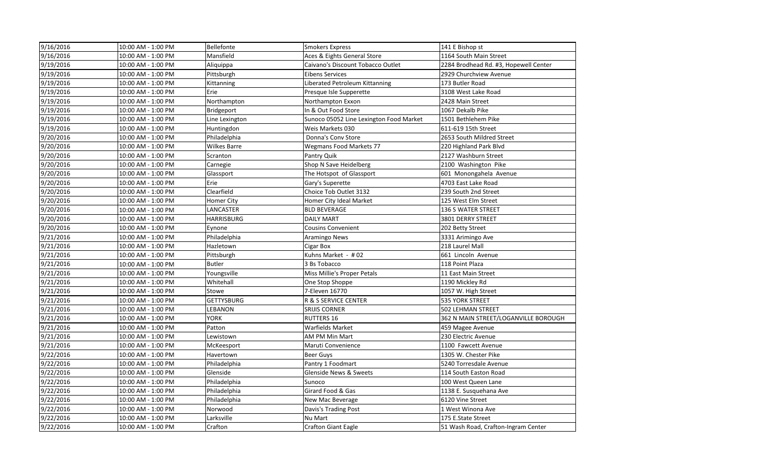| 9/16/2016 | 10:00 AM - 1:00 PM | Bellefonte          | <b>Smokers Express</b>                  | 141 E Bishop st                       |
|-----------|--------------------|---------------------|-----------------------------------------|---------------------------------------|
| 9/16/2016 | 10:00 AM - 1:00 PM | Mansfield           | Aces & Eights General Store             | 1164 South Main Street                |
| 9/19/2016 | 10:00 AM - 1:00 PM | Aliquippa           | Caivano's Discount Tobacco Outlet       | 2284 Brodhead Rd. #3, Hopewell Center |
| 9/19/2016 | 10:00 AM - 1:00 PM | Pittsburgh          | <b>Eibens Services</b>                  | 2929 Churchview Avenue                |
| 9/19/2016 | 10:00 AM - 1:00 PM | Kittanning          | Liberated Petroleum Kittanning          | 173 Butler Road                       |
| 9/19/2016 | 10:00 AM - 1:00 PM | Erie                | Presque Isle Supperette                 | 3108 West Lake Road                   |
| 9/19/2016 | 10:00 AM - 1:00 PM | Northampton         | Northampton Exxon                       | 2428 Main Street                      |
| 9/19/2016 | 10:00 AM - 1:00 PM | Bridgeport          | In & Out Food Store                     | 1067 Dekalb Pike                      |
| 9/19/2016 | 10:00 AM - 1:00 PM | Line Lexington      | Sunoco 05052 Line Lexington Food Market | 1501 Bethlehem Pike                   |
| 9/19/2016 | 10:00 AM - 1:00 PM | Huntingdon          | Weis Markets 030                        | 611-619 15th Street                   |
| 9/20/2016 | 10:00 AM - 1:00 PM | Philadelphia        | Donna's Cony Store                      | 2653 South Mildred Street             |
| 9/20/2016 | 10:00 AM - 1:00 PM | <b>Wilkes Barre</b> | <b>Wegmans Food Markets 77</b>          | 220 Highland Park Blvd                |
| 9/20/2016 | 10:00 AM - 1:00 PM | Scranton            | Pantry Quik                             | 2127 Washburn Street                  |
| 9/20/2016 | 10:00 AM - 1:00 PM | Carnegie            | Shop N Save Heidelberg                  | 2100 Washington Pike                  |
| 9/20/2016 | 10:00 AM - 1:00 PM | Glassport           | The Hotspot of Glassport                | 601 Monongahela Avenue                |
| 9/20/2016 | 10:00 AM - 1:00 PM | Erie                | Gary's Superette                        | 4703 East Lake Road                   |
| 9/20/2016 | 10:00 AM - 1:00 PM | Clearfield          | Choice Tob Outlet 3132                  | 239 South 2nd Street                  |
| 9/20/2016 | 10:00 AM - 1:00 PM | Homer City          | Homer City Ideal Market                 | 125 West Elm Street                   |
| 9/20/2016 | 10:00 AM - 1:00 PM | LANCASTER           | <b>BLD BEVERAGE</b>                     | <b>136 S WATER STREET</b>             |
| 9/20/2016 | 10:00 AM - 1:00 PM | <b>HARRISBURG</b>   | <b>DAILY MART</b>                       | 3801 DERRY STREET                     |
| 9/20/2016 | 10:00 AM - 1:00 PM | Eynone              | <b>Cousins Convenient</b>               | 202 Betty Street                      |
| 9/21/2016 | 10:00 AM - 1:00 PM | Philadelphia        | Aramingo News                           | 3331 Arimingo Ave                     |
| 9/21/2016 | 10:00 AM - 1:00 PM | Hazletown           | Cigar Box                               | 218 Laurel Mall                       |
| 9/21/2016 | 10:00 AM - 1:00 PM | Pittsburgh          | Kuhns Market - #02                      | 661 Lincoln Avenue                    |
| 9/21/2016 | 10:00 AM - 1:00 PM | <b>Butler</b>       | 3 Bs Tobacco                            | 118 Point Plaza                       |
| 9/21/2016 | 10:00 AM - 1:00 PM | Youngsville         | Miss Millie's Proper Petals             | 11 East Main Street                   |
| 9/21/2016 | 10:00 AM - 1:00 PM | Whitehall           | One Stop Shoppe                         | 1190 Mickley Rd                       |
| 9/21/2016 | 10:00 AM - 1:00 PM | Stowe               | 7-Eleven 16770                          | 1057 W. High Street                   |
| 9/21/2016 | 10:00 AM - 1:00 PM | <b>GETTYSBURG</b>   | R & S SERVICE CENTER                    | 535 YORK STREET                       |
| 9/21/2016 | 10:00 AM - 1:00 PM | LEBANON             | SRIJIS CORNER                           | 502 LEHMAN STREET                     |
| 9/21/2016 | 10:00 AM - 1:00 PM | <b>YORK</b>         | <b>RUTTERS 16</b>                       | 362 N MAIN STREET/LOGANVILLE BOROUGH  |
| 9/21/2016 | 10:00 AM - 1:00 PM | Patton              | <b>Warfields Market</b>                 | 459 Magee Avenue                      |
| 9/21/2016 | 10:00 AM - 1:00 PM | Lewistown           | AM PM Min Mart                          | 230 Electric Avenue                   |
| 9/21/2016 | 10:00 AM - 1:00 PM | McKeesport          | Maruti Convenience                      | 1100 Fawcett Avenue                   |
| 9/22/2016 | 10:00 AM - 1:00 PM | Havertown           | Beer Guys                               | 1305 W. Chester Pike                  |
| 9/22/2016 | 10:00 AM - 1:00 PM | Philadelphia        | Pantry 1 Foodmart                       | 5240 Torresdale Avenue                |
| 9/22/2016 | 10:00 AM - 1:00 PM | Glenside            | Glenside News & Sweets                  | 114 South Easton Road                 |
| 9/22/2016 | 10:00 AM - 1:00 PM | Philadelphia        | Sunoco                                  | 100 West Queen Lane                   |
| 9/22/2016 | 10:00 AM - 1:00 PM | Philadelphia        | Girard Food & Gas                       | 1138 E. Susquehana Ave                |
| 9/22/2016 | 10:00 AM - 1:00 PM | Philadelphia        | New Mac Beverage                        | 6120 Vine Street                      |
| 9/22/2016 | 10:00 AM - 1:00 PM | Norwood             | Davis's Trading Post                    | 1 West Winona Ave                     |
| 9/22/2016 | 10:00 AM - 1:00 PM | Larksville          | Nu Mart                                 | 175 E.State Street                    |
| 9/22/2016 | 10:00 AM - 1:00 PM | Crafton             | <b>Crafton Giant Eagle</b>              | 51 Wash Road, Crafton-Ingram Center   |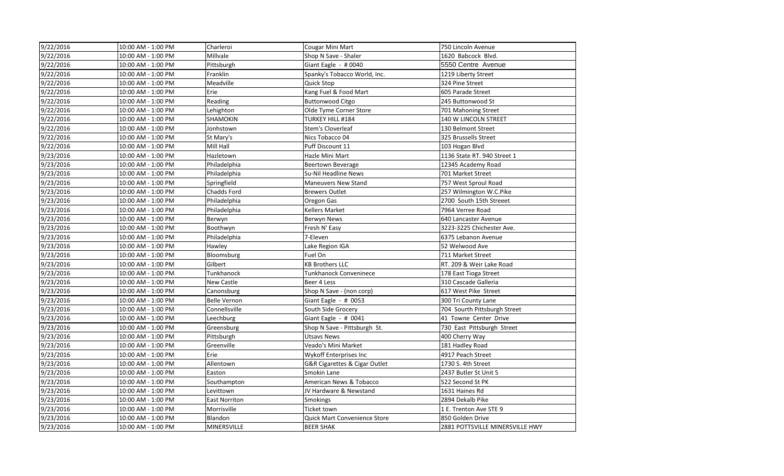| 9/22/2016 | 10:00 AM - 1:00 PM | Charleroi            | <b>Cougar Mini Mart</b>             | 750 Lincoln Avenue              |
|-----------|--------------------|----------------------|-------------------------------------|---------------------------------|
| 9/22/2016 | 10:00 AM - 1:00 PM | Millvale             | Shop N Save - Shaler                | 1620 Babcock Blvd.              |
| 9/22/2016 | 10:00 AM - 1:00 PM | Pittsburgh           | Giant Eagle - #0040                 | 5550 Centre Avenue              |
| 9/22/2016 | 10:00 AM - 1:00 PM | Franklin             | Spanky's Tobacco World, Inc.        | 1219 Liberty Street             |
| 9/22/2016 | 10:00 AM - 1:00 PM | Meadville            | <b>Quick Stop</b>                   | 324 Pine Street                 |
| 9/22/2016 | 10:00 AM - 1:00 PM | Erie                 | Kang Fuel & Food Mart               | 605 Parade Street               |
| 9/22/2016 | 10:00 AM - 1:00 PM | Reading              | <b>Buttonwood Citgo</b>             | 245 Buttonwood St               |
| 9/22/2016 | 10:00 AM - 1:00 PM | Lehighton            | Olde Tyme Corner Store              | 701 Mahoning Street             |
| 9/22/2016 | 10:00 AM - 1:00 PM | SHAMOKIN             | TURKEY HILL #184                    | 140 W LINCOLN STREET            |
| 9/22/2016 | 10:00 AM - 1:00 PM | Jonhstown            | Stem's Cloverleaf                   | 130 Belmont Street              |
| 9/22/2016 | 10:00 AM - 1:00 PM | St Mary's            | Nics Tobacco 04                     | 325 Brussells Street            |
| 9/22/2016 | 10:00 AM - 1:00 PM | Mill Hall            | Puff Discount 11                    | 103 Hogan Blvd                  |
| 9/23/2016 | 10:00 AM - 1:00 PM | Hazletown            | Hazle Mini Mart                     | 1136 State RT. 940 Street 1     |
| 9/23/2016 | 10:00 AM - 1:00 PM | Philadelphia         | Beertown Beverage                   | 12345 Academy Road              |
| 9/23/2016 | 10:00 AM - 1:00 PM | Philadelphia         | Su-Nil Headline News                | 701 Market Street               |
| 9/23/2016 | 10:00 AM - 1:00 PM | Springfield          | <b>Maneuvers New Stand</b>          | 757 West Sproul Road            |
| 9/23/2016 | 10:00 AM - 1:00 PM | Chadds Ford          | <b>Brewers Outlet</b>               | 257 Wilmington W.C.Pike         |
| 9/23/2016 | 10:00 AM - 1:00 PM | Philadelphia         | Oregon Gas                          | 2700 South 15th Streeet         |
| 9/23/2016 | 10:00 AM - 1:00 PM | Philadelphia         | <b>Kellers Market</b>               | 7964 Verree Road                |
| 9/23/2016 | 10:00 AM - 1:00 PM | Berwyn               | Berwyn News                         | 640 Lancaster Avenue            |
| 9/23/2016 | 10:00 AM - 1:00 PM | Boothwyn             | Fresh N' Easy                       | 3223-3225 Chichester Ave.       |
| 9/23/2016 | 10:00 AM - 1:00 PM | Philadelphia         | 7-Eleven                            | 6375 Lebanon Avenue             |
| 9/23/2016 | 10:00 AM - 1:00 PM | Hawley               | Lake Region IGA                     | 52 Welwood Ave                  |
| 9/23/2016 | 10:00 AM - 1:00 PM | Bloomsburg           | Fuel On                             | 711 Market Street               |
| 9/23/2016 | 10:00 AM - 1:00 PM | Gilbert              | <b>KB Brothers LLC</b>              | RT. 209 & Weir Lake Road        |
| 9/23/2016 | 10:00 AM - 1:00 PM | Tunkhanock           | Tunkhanock Conveninece              | 178 East Tioga Street           |
| 9/23/2016 | 10:00 AM - 1:00 PM | New Castle           | Beer 4 Less                         | 310 Cascade Galleria            |
| 9/23/2016 | 10:00 AM - 1:00 PM | Canonsburg           | Shop N Save - (non corp)            | 617 West Pike Street            |
| 9/23/2016 | 10:00 AM - 1:00 PM | <b>Belle Vernon</b>  | Giant Eagle - # 0053                | 300 Tri County Lane             |
| 9/23/2016 | 10:00 AM - 1:00 PM | Connellsville        | South Side Grocery                  | 704 Sourth Pittsburgh Street    |
| 9/23/2016 | 10:00 AM - 1:00 PM | Leechburg            | Giant Eagle - # 0041                | 41 Towne Center Drive           |
| 9/23/2016 | 10:00 AM - 1:00 PM | Greensburg           | Shop N Save - Pittsburgh St.        | 730 East Pittsburgh Street      |
| 9/23/2016 | 10:00 AM - 1:00 PM | Pittsburgh           | <b>Utsavs News</b>                  | 400 Cherry Way                  |
| 9/23/2016 | 10:00 AM - 1:00 PM | Greenville           | Veado's Mini Market                 | 181 Hadley Road                 |
| 9/23/2016 | 10:00 AM - 1:00 PM | Erie                 | Wykoff Enterprises Inc              | 4917 Peach Street               |
| 9/23/2016 | 10:00 AM - 1:00 PM | Allentown            | G&R Cigarettes & Cigar Outlet       | 1730 S. 4th Street              |
| 9/23/2016 | 10:00 AM - 1:00 PM | Easton               | Smokin Lane                         | 2437 Butler St Unit 5           |
| 9/23/2016 | 10:00 AM - 1:00 PM | Southampton          | American News & Tobacco             | 522 Second St PK                |
| 9/23/2016 | 10:00 AM - 1:00 PM | Levittown            | JV Hardware & Newstand              | 1631 Haines Rd                  |
| 9/23/2016 | 10:00 AM - 1:00 PM | <b>East Norriton</b> | Smokings                            | 2894 Dekalb Pike                |
| 9/23/2016 | 10:00 AM - 1:00 PM | Morrisville          | Ticket town                         | 1 E. Trenton Ave STE 9          |
| 9/23/2016 | 10:00 AM - 1:00 PM | Blandon              | <b>Quick Mart Convenience Store</b> | 850 Golden Drive                |
| 9/23/2016 | 10:00 AM - 1:00 PM | MINERSVILLE          | <b>BEER SHAK</b>                    | 2881 POTTSVILLE MINERSVILLE HWY |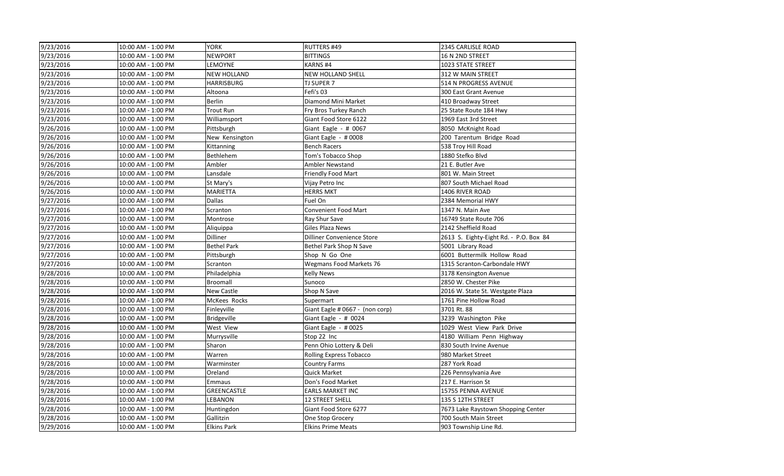| 9/23/2016 | 10:00 AM - 1:00 PM | <b>YORK</b>        | <b>RUTTERS #49</b>              | 2345 CARLISLE ROAD                     |
|-----------|--------------------|--------------------|---------------------------------|----------------------------------------|
| 9/23/2016 | 10:00 AM - 1:00 PM | <b>NEWPORT</b>     | <b>BITTINGS</b>                 | 16 N 2ND STREET                        |
| 9/23/2016 | 10:00 AM - 1:00 PM | LEMOYNE            | KARNS#4                         | 1023 STATE STREET                      |
| 9/23/2016 | 10:00 AM - 1:00 PM | <b>NEW HOLLAND</b> | NEW HOLLAND SHELL               | 312 W MAIN STREET                      |
| 9/23/2016 | 10:00 AM - 1:00 PM | <b>HARRISBURG</b>  | <b>TJ SUPER 7</b>               | 514 N PROGRESS AVENUE                  |
| 9/23/2016 | 10:00 AM - 1:00 PM | Altoona            | Fefi's 03                       | 300 East Grant Avenue                  |
| 9/23/2016 | 10:00 AM - 1:00 PM | <b>Berlin</b>      | Diamond Mini Market             | 410 Broadway Street                    |
| 9/23/2016 | 10:00 AM - 1:00 PM | <b>Trout Run</b>   | Fry Bros Turkey Ranch           | 25 State Route 184 Hwy                 |
| 9/23/2016 | 10:00 AM - 1:00 PM | Williamsport       | Giant Food Store 6122           | 1969 East 3rd Street                   |
| 9/26/2016 | 10:00 AM - 1:00 PM | Pittsburgh         | Giant Eagle - $\#$ 0067         | 8050 McKnight Road                     |
| 9/26/2016 | 10:00 AM - 1:00 PM | New Kensington     | Giant Eagle - $\#0008$          | 200 Tarentum Bridge Road               |
| 9/26/2016 | 10:00 AM - 1:00 PM | Kittanning         | <b>Bench Racers</b>             | 538 Troy Hill Road                     |
| 9/26/2016 | 10:00 AM - 1:00 PM | Bethlehem          | Tom's Tobacco Shop              | 1880 Stefko Blvd                       |
| 9/26/2016 | 10:00 AM - 1:00 PM | Ambler             | Ambler Newstand                 | 21 E. Butler Ave                       |
| 9/26/2016 | 10:00 AM - 1:00 PM | Lansdale           | <b>Friendly Food Mart</b>       | 801 W. Main Street                     |
| 9/26/2016 | 10:00 AM - 1:00 PM | St Mary's          | Vijay Petro Inc                 | 807 South Michael Road                 |
| 9/26/2016 | 10:00 AM - 1:00 PM | MARIETTA           | <b>HERRS MKT</b>                | 1406 RIVER ROAD                        |
| 9/27/2016 | 10:00 AM - 1:00 PM | <b>Dallas</b>      | Fuel On                         | 2384 Memorial HWY                      |
| 9/27/2016 | 10:00 AM - 1:00 PM | Scranton           | <b>Convenient Food Mart</b>     | 1347 N. Main Ave                       |
| 9/27/2016 | 10:00 AM - 1:00 PM | Montrose           | Ray Shur Save                   | 16749 State Route 706                  |
| 9/27/2016 | 10:00 AM - 1:00 PM | Aliquippa          | Giles Plaza News                | 2142 Sheffield Road                    |
| 9/27/2016 | 10:00 AM - 1:00 PM | Dilliner           | Dilliner Convenience Store      | 2613 S. Eighty-Eight Rd. - P.O. Box 84 |
| 9/27/2016 | 10:00 AM - 1:00 PM | <b>Bethel Park</b> | Bethel Park Shop N Save         | 5001 Library Road                      |
| 9/27/2016 | 10:00 AM - 1:00 PM | Pittsburgh         | Shop N Go One                   | 6001 Buttermilk Hollow Road            |
| 9/27/2016 | 10:00 AM - 1:00 PM | Scranton           | <b>Wegmans Food Markets 76</b>  | 1315 Scranton-Carbondale HWY           |
| 9/28/2016 | 10:00 AM - 1:00 PM | Philadelphia       | <b>Kelly News</b>               | 3178 Kensington Avenue                 |
| 9/28/2016 | 10:00 AM - 1:00 PM | Broomall           | Sunoco                          | 2850 W. Chester Pike                   |
| 9/28/2016 | 10:00 AM - 1:00 PM | New Castle         | Shop N Save                     | 2016 W. State St. Westgate Plaza       |
| 9/28/2016 | 10:00 AM - 1:00 PM | McKees Rocks       | Supermart                       | 1761 Pine Hollow Road                  |
| 9/28/2016 | 10:00 AM - 1:00 PM | Finleyville        | Giant Eagle # 0667 - (non corp) | 3701 Rt. 88                            |
| 9/28/2016 | 10:00 AM - 1:00 PM | <b>Bridgeville</b> | Giant Eagle - # 0024            | 3239 Washington Pike                   |
| 9/28/2016 | 10:00 AM - 1:00 PM | West View          | Giant Eagle - #0025             | 1029 West View Park Drive              |
| 9/28/2016 | 10:00 AM - 1:00 PM | Murrysville        | Stop 22 Inc                     | 4180 William Penn Highway              |
| 9/28/2016 | 10:00 AM - 1:00 PM | Sharon             | Penn Ohio Lottery & Deli        | 830 South Irvine Avenue                |
| 9/28/2016 | 10:00 AM - 1:00 PM | Warren             | Rolling Express Tobacco         | 980 Market Street                      |
| 9/28/2016 | 10:00 AM - 1:00 PM | Warminster         | <b>Country Farms</b>            | 287 York Road                          |
| 9/28/2016 | 10:00 AM - 1:00 PM | Oreland            | <b>Quick Market</b>             | 226 Pennsylvania Ave                   |
| 9/28/2016 | 10:00 AM - 1:00 PM | Emmaus             | Don's Food Market               | 217 E. Harrison St                     |
| 9/28/2016 | 10:00 AM - 1:00 PM | <b>GREENCASTLE</b> | <b>EARLS MARKET INC</b>         | 15755 PENNA AVENUE                     |
| 9/28/2016 | 10:00 AM - 1:00 PM | LEBANON            | <b>12 STREET SHELL</b>          | 135 S 12TH STREET                      |
| 9/28/2016 | 10:00 AM - 1:00 PM | Huntingdon         | Giant Food Store 6277           | 7673 Lake Raystown Shopping Center     |
| 9/28/2016 | 10:00 AM - 1:00 PM | Gallitzin          | One Stop Grocery                | 700 South Main Street                  |
| 9/29/2016 | 10:00 AM - 1:00 PM | <b>Elkins Park</b> | <b>Elkins Prime Meats</b>       | 903 Township Line Rd.                  |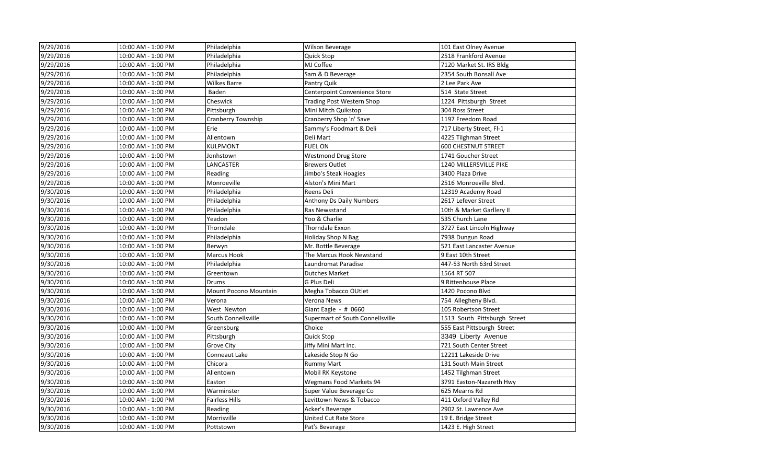| 9/29/2016 | 10:00 AM - 1:00 PM | Philadelphia                 | Wilson Beverage                  | 101 East Olney Avenue        |
|-----------|--------------------|------------------------------|----------------------------------|------------------------------|
| 9/29/2016 | 10:00 AM - 1:00 PM | Philadelphia                 | <b>Quick Stop</b>                | 2518 Frankford Avenue        |
| 9/29/2016 | 10:00 AM - 1:00 PM | Philadelphia                 | MJ Coffee                        | 7120 Market St. IRS Bldg     |
| 9/29/2016 | 10:00 AM - 1:00 PM | Philadelphia                 | Sam & D Beverage                 | 2354 South Bonsall Ave       |
| 9/29/2016 | 10:00 AM - 1:00 PM | Wilkes Barre                 | Pantry Quik                      | 2 Lee Park Ave               |
| 9/29/2016 | 10:00 AM - 1:00 PM | Baden                        | Centerpoint Convenience Store    | 514 State Street             |
| 9/29/2016 | 10:00 AM - 1:00 PM | Cheswick                     | <b>Trading Post Western Shop</b> | 1224 Pittsburgh Street       |
| 9/29/2016 | 10:00 AM - 1:00 PM | Pittsburgh                   | Mini Mitch Quikstop              | 304 Ross Street              |
| 9/29/2016 | 10:00 AM - 1:00 PM | <b>Cranberry Township</b>    | Cranberry Shop 'n' Save          | 1197 Freedom Road            |
| 9/29/2016 | 10:00 AM - 1:00 PM | Erie                         | Sammy's Foodmart & Deli          | 717 Liberty Street, Fl-1     |
| 9/29/2016 | 10:00 AM - 1:00 PM | Allentown                    | Deli Mart                        | 4225 Tilghman Street         |
| 9/29/2016 | 10:00 AM - 1:00 PM | <b>KULPMONT</b>              | <b>FUEL ON</b>                   | <b>600 CHESTNUT STREET</b>   |
| 9/29/2016 | 10:00 AM - 1:00 PM | Jonhstown                    | <b>Westmond Drug Store</b>       | 1741 Goucher Street          |
| 9/29/2016 | 10:00 AM - 1:00 PM | LANCASTER                    | <b>Brewers Outlet</b>            | 1240 MILLERSVILLE PIKE       |
| 9/29/2016 | 10:00 AM - 1:00 PM | Reading                      | Jimbo's Steak Hoagies            | 3400 Plaza Drive             |
| 9/29/2016 | 10:00 AM - 1:00 PM | Monroeville                  | Alston's Mini Mart               | 2516 Monroeville Blvd.       |
| 9/30/2016 | 10:00 AM - 1:00 PM | Philadelphia                 | Reens Deli                       | 12319 Academy Road           |
| 9/30/2016 | 10:00 AM - 1:00 PM | Philadelphia                 | Anthony Ds Daily Numbers         | 2617 Lefever Street          |
| 9/30/2016 | 10:00 AM - 1:00 PM | Philadelphia                 | Ras Newsstand                    | 10th & Market Garllery II    |
| 9/30/2016 | 10:00 AM - 1:00 PM | Yeadon                       | Yoo & Charlie                    | 535 Church Lane              |
| 9/30/2016 | 10:00 AM - 1:00 PM | Thorndale                    | <b>Thorndale Exxon</b>           | 3727 East Lincoln Highway    |
| 9/30/2016 | 10:00 AM - 1:00 PM | Philadelphia                 | <b>Holiday Shop N Bag</b>        | 7938 Dungun Road             |
| 9/30/2016 | 10:00 AM - 1:00 PM | Berwyn                       | Mr. Bottle Beverage              | 521 East Lancaster Avenue    |
| 9/30/2016 | 10:00 AM - 1:00 PM | Marcus Hook                  | The Marcus Hook Newstand         | 9 East 10th Street           |
| 9/30/2016 | 10:00 AM - 1:00 PM | Philadelphia                 | Laundromat Paradise              | 447-53 North 63rd Street     |
| 9/30/2016 | 10:00 AM - 1:00 PM | Greentown                    | <b>Dutches Market</b>            | 1564 RT 507                  |
| 9/30/2016 | 10:00 AM - 1:00 PM | <b>Drums</b>                 | G Plus Deli                      | 9 Rittenhouse Place          |
| 9/30/2016 | 10:00 AM - 1:00 PM | <b>Mount Pocono Mountain</b> | Megha Tobacco OUtlet             | 1420 Pocono Blvd             |
| 9/30/2016 | 10:00 AM - 1:00 PM | Verona                       | Verona News                      | 754 Allegheny Blvd.          |
| 9/30/2016 | 10:00 AM - 1:00 PM | West Newton                  | Giant Eagle - # 0660             | 105 Robertson Street         |
| 9/30/2016 | 10:00 AM - 1:00 PM | South Connellsville          | Supermart of South Connellsville | 1513 South Pittsburgh Street |
| 9/30/2016 | 10:00 AM - 1:00 PM | Greensburg                   | Choice                           | 555 East Pittsburgh Street   |
| 9/30/2016 | 10:00 AM - 1:00 PM | Pittsburgh                   | <b>Quick Stop</b>                | 3349 Liberty Avenue          |
| 9/30/2016 | 10:00 AM - 1:00 PM | Grove City                   | Jiffy Mini Mart Inc.             | 721 South Center Street      |
| 9/30/2016 | 10:00 AM - 1:00 PM | Conneaut Lake                | Lakeside Stop N Go               | 12211 Lakeside Drive         |
| 9/30/2016 | 10:00 AM - 1:00 PM | Chicora                      | <b>Rummy Mart</b>                | 131 South Main Street        |
| 9/30/2016 | 10:00 AM - 1:00 PM | Allentown                    | Mobil RK Keystone                | 1452 Tilghman Street         |
| 9/30/2016 | 10:00 AM - 1:00 PM | Easton                       | Wegmans Food Markets 94          | 3791 Easton-Nazareth Hwy     |
| 9/30/2016 | 10:00 AM - 1:00 PM | Warminster                   | Super Value Beverage Co          | 625 Mearns Rd                |
| 9/30/2016 | 10:00 AM - 1:00 PM | <b>Fairless Hills</b>        | Levittown News & Tobacco         | 411 Oxford Valley Rd         |
| 9/30/2016 | 10:00 AM - 1:00 PM | Reading                      | Acker's Beverage                 | 2902 St. Lawrence Ave        |
| 9/30/2016 | 10:00 AM - 1:00 PM | Morrisville                  | <b>United Cut Rate Store</b>     | 19 E. Bridge Street          |
| 9/30/2016 | 10:00 AM - 1:00 PM | Pottstown                    | Pat's Beverage                   | 1423 E. High Street          |